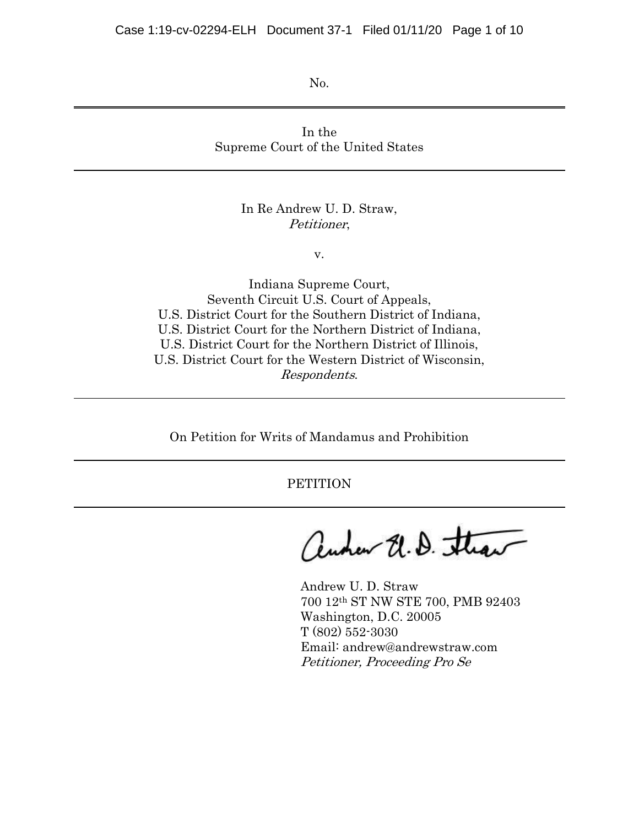No.

In the Supreme Court of the United States

## In Re Andrew U. D. Straw, Petitioner,

v.

Indiana Supreme Court, Seventh Circuit U.S. Court of Appeals, U.S. District Court for the Southern District of Indiana, U.S. District Court for the Northern District of Indiana, U.S. District Court for the Northern District of Illinois, U.S. District Court for the Western District of Wisconsin, Respondents.

On Petition for Writs of Mandamus and Prohibition

**PETITION** 

audeur U.D. Straw

Andrew U. D. Straw 700 12th ST NW STE 700, PMB 92403 Washington, D.C. 20005 T (802) 552-3030 Email: andrew@andrewstraw.com Petitioner, Proceeding Pro Se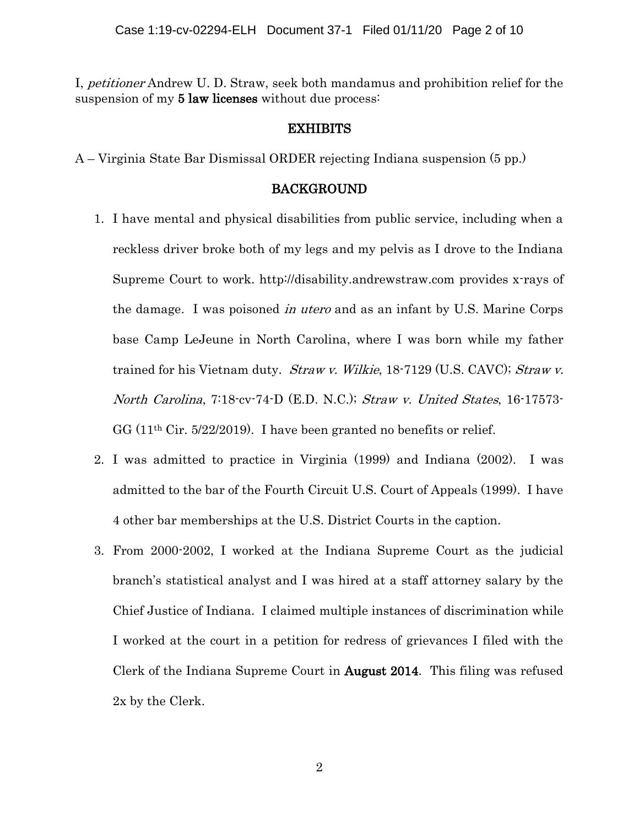I, petitioner Andrew U. D. Straw, seek both mandamus and prohibition relief for the suspension of my 5 law licenses without due process:

#### EXHIBITS

A – Virginia State Bar Dismissal ORDER rejecting Indiana suspension (5 pp.)

### BACKGROUND

- 1. I have mental and physical disabilities from public service, including when a reckless driver broke both of my legs and my pelvis as I drove to the Indiana Supreme Court to work. http://disability.andrewstraw.com provides x-rays of the damage. I was poisoned in utero and as an infant by U.S. Marine Corps base Camp LeJeune in North Carolina, where I was born while my father trained for his Vietnam duty. *Straw v. Wilkie*, 18-7129 (U.S. CAVC); *Straw v.* North Carolina, 7:18-cv-74-D (E.D. N.C.); Straw v. United States, 16-17573- GG (11th Cir. 5/22/2019). I have been granted no benefits or relief.
- 2. I was admitted to practice in Virginia (1999) and Indiana (2002). I was admitted to the bar of the Fourth Circuit U.S. Court of Appeals (1999). I have 4 other bar memberships at the U.S. District Courts in the caption.
- 3. From 2000-2002, I worked at the Indiana Supreme Court as the judicial branch's statistical analyst and I was hired at a staff attorney salary by the Chief Justice of Indiana. I claimed multiple instances of discrimination while I worked at the court in a petition for redress of grievances I filed with the Clerk of the Indiana Supreme Court in August 2014. This filing was refused 2x by the Clerk.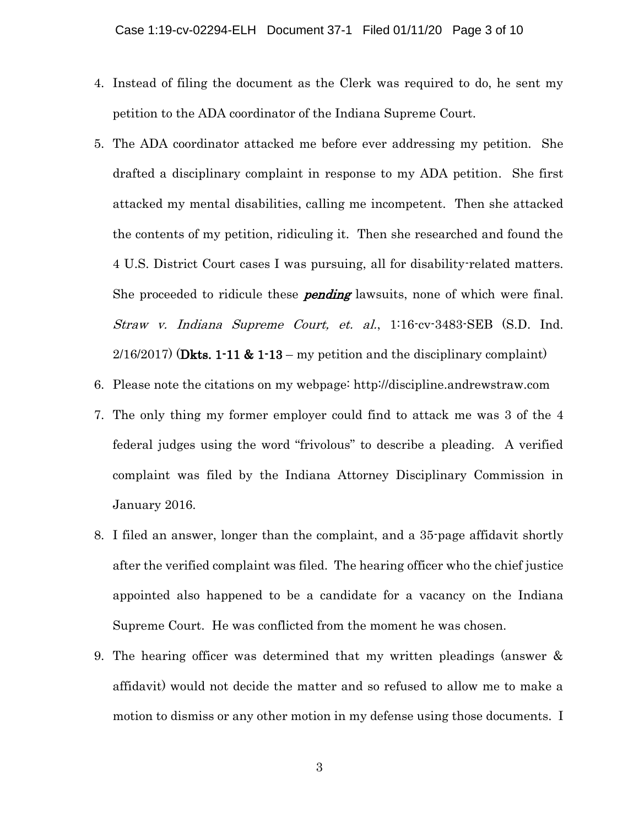- 4. Instead of filing the document as the Clerk was required to do, he sent my petition to the ADA coordinator of the Indiana Supreme Court.
- 5. The ADA coordinator attacked me before ever addressing my petition. She drafted a disciplinary complaint in response to my ADA petition. She first attacked my mental disabilities, calling me incompetent. Then she attacked the contents of my petition, ridiculing it. Then she researched and found the 4 U.S. District Court cases I was pursuing, all for disability-related matters. She proceeded to ridicule these **pending** lawsuits, none of which were final. Straw v. Indiana Supreme Court, et. al., 1:16-cv-3483-SEB (S.D. Ind.  $2/16/2017$  (Dkts. 1-11 & 1-13 – my petition and the disciplinary complaint)
- 6. Please note the citations on my webpage: http://discipline.andrewstraw.com
- 7. The only thing my former employer could find to attack me was 3 of the 4 federal judges using the word "frivolous" to describe a pleading. A verified complaint was filed by the Indiana Attorney Disciplinary Commission in January 2016.
- 8. I filed an answer, longer than the complaint, and a 35-page affidavit shortly after the verified complaint was filed. The hearing officer who the chief justice appointed also happened to be a candidate for a vacancy on the Indiana Supreme Court. He was conflicted from the moment he was chosen.
- 9. The hearing officer was determined that my written pleadings (answer & affidavit) would not decide the matter and so refused to allow me to make a motion to dismiss or any other motion in my defense using those documents. I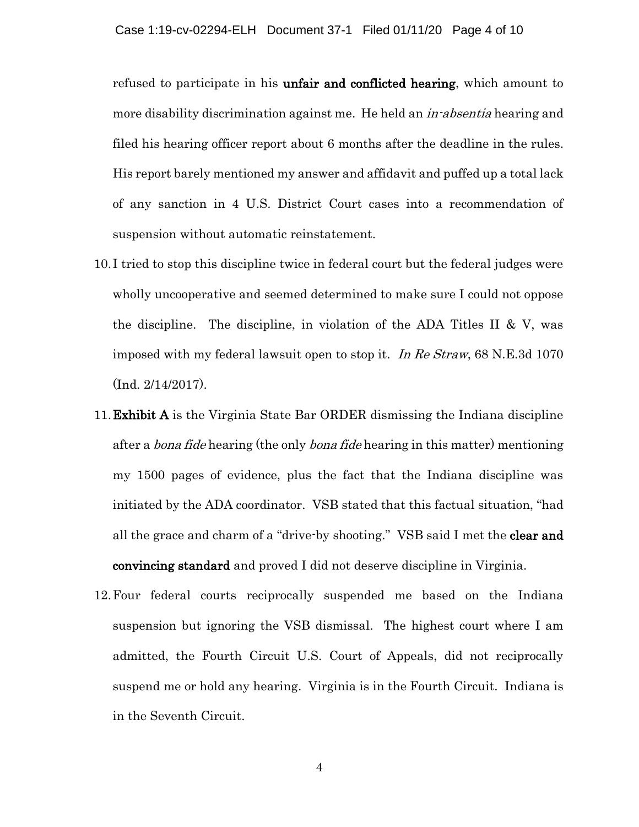refused to participate in his **unfair and conflicted hearing**, which amount to more disability discrimination against me. He held an *in-absentia* hearing and filed his hearing officer report about 6 months after the deadline in the rules. His report barely mentioned my answer and affidavit and puffed up a total lack of any sanction in 4 U.S. District Court cases into a recommendation of suspension without automatic reinstatement.

- 10.I tried to stop this discipline twice in federal court but the federal judges were wholly uncooperative and seemed determined to make sure I could not oppose the discipline. The discipline, in violation of the ADA Titles II & V, was imposed with my federal lawsuit open to stop it. In Re Straw, 68 N.E.3d 1070 (Ind. 2/14/2017).
- 11.Exhibit A is the Virginia State Bar ORDER dismissing the Indiana discipline after a *bona fide* hearing (the only *bona fide* hearing in this matter) mentioning my 1500 pages of evidence, plus the fact that the Indiana discipline was initiated by the ADA coordinator. VSB stated that this factual situation, "had all the grace and charm of a "drive-by shooting." VSB said I met the **clear and** convincing standard and proved I did not deserve discipline in Virginia.
- 12.Four federal courts reciprocally suspended me based on the Indiana suspension but ignoring the VSB dismissal. The highest court where I am admitted, the Fourth Circuit U.S. Court of Appeals, did not reciprocally suspend me or hold any hearing. Virginia is in the Fourth Circuit. Indiana is in the Seventh Circuit.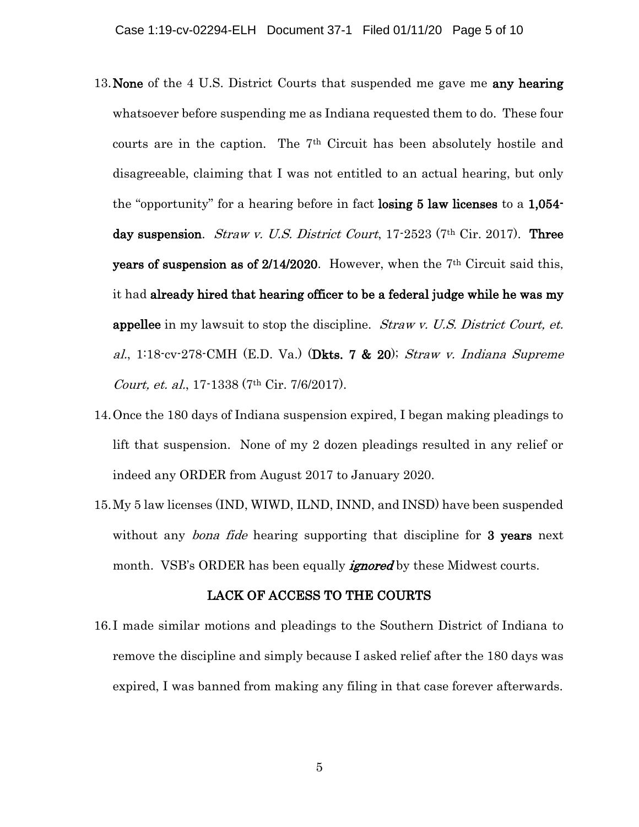- 13. None of the 4 U.S. District Courts that suspended me gave me any hearing whatsoever before suspending me as Indiana requested them to do. These four courts are in the caption. The 7th Circuit has been absolutely hostile and disagreeable, claiming that I was not entitled to an actual hearing, but only the "opportunity" for a hearing before in fact losing 5 law licenses to a 1,054 day suspension. *Straw v. U.S. District Court*,  $17\text{-}2523$  (7<sup>th</sup> Cir. 2017). **Three** years of suspension as of  $2/14/2020$ . However, when the 7<sup>th</sup> Circuit said this, it had already hired that hearing officer to be a federal judge while he was my **appellee** in my lawsuit to stop the discipline. *Straw v. U.S. District Court, et.* al., 1:18-cv-278-CMH (E.D. Va.) (Dkts. 7  $\&$  20); Straw v. Indiana Supreme Court, et. al., 17-1338 (7th Cir. 7/6/2017).
- 14.Once the 180 days of Indiana suspension expired, I began making pleadings to lift that suspension. None of my 2 dozen pleadings resulted in any relief or indeed any ORDER from August 2017 to January 2020.
- 15.My 5 law licenses (IND, WIWD, ILND, INND, and INSD) have been suspended without any *bona fide* hearing supporting that discipline for 3 years next month. VSB's ORDER has been equally *ignored* by these Midwest courts.

### LACK OF ACCESS TO THE COURTS

16.I made similar motions and pleadings to the Southern District of Indiana to remove the discipline and simply because I asked relief after the 180 days was expired, I was banned from making any filing in that case forever afterwards.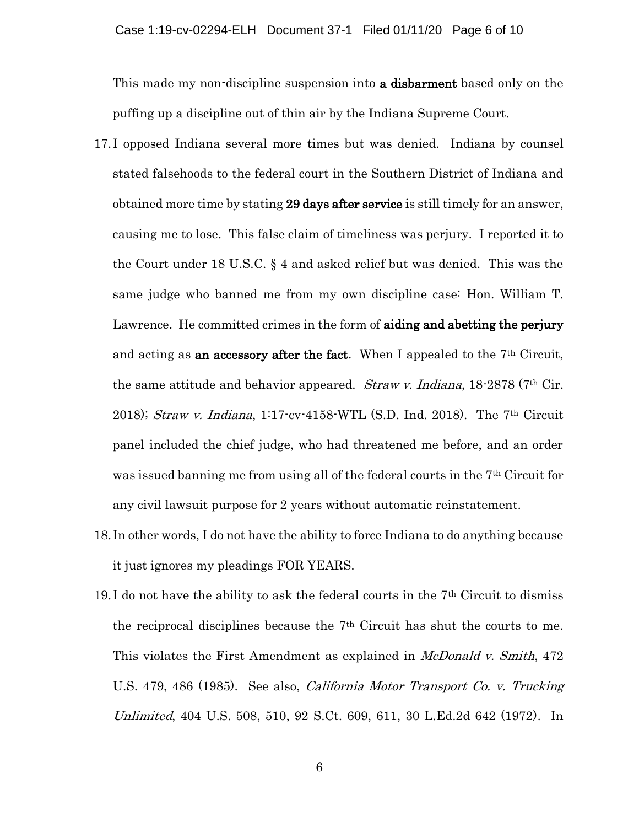This made my non-discipline suspension into **a disbarment** based only on the puffing up a discipline out of thin air by the Indiana Supreme Court.

- 17.I opposed Indiana several more times but was denied. Indiana by counsel stated falsehoods to the federal court in the Southern District of Indiana and obtained more time by stating 29 days after service is still timely for an answer, causing me to lose. This false claim of timeliness was perjury. I reported it to the Court under 18 U.S.C. § 4 and asked relief but was denied. This was the same judge who banned me from my own discipline case: Hon. William T. Lawrence. He committed crimes in the form of **aiding and abetting the perjury** and acting as **an accessory after the fact**. When I appealed to the  $7<sup>th</sup>$  Circuit, the same attitude and behavior appeared. *Straw v. Indiana*,  $18\text{-}2878$  (7<sup>th</sup> Cir. 2018); Straw v. Indiana, 1:17-cv-4158-WTL (S.D. Ind. 2018). The 7<sup>th</sup> Circuit panel included the chief judge, who had threatened me before, and an order was issued banning me from using all of the federal courts in the 7<sup>th</sup> Circuit for any civil lawsuit purpose for 2 years without automatic reinstatement.
- 18.In other words, I do not have the ability to force Indiana to do anything because it just ignores my pleadings FOR YEARS.
- 19.I do not have the ability to ask the federal courts in the 7th Circuit to dismiss the reciprocal disciplines because the 7th Circuit has shut the courts to me. This violates the First Amendment as explained in *McDonald v. Smith*, 472 U.S. 479, 486 (1985). See also, *California Motor Transport Co. v. Trucking* Unlimited, 404 U.S. 508, 510, 92 S.Ct. 609, 611, 30 L.Ed.2d 642 (1972). In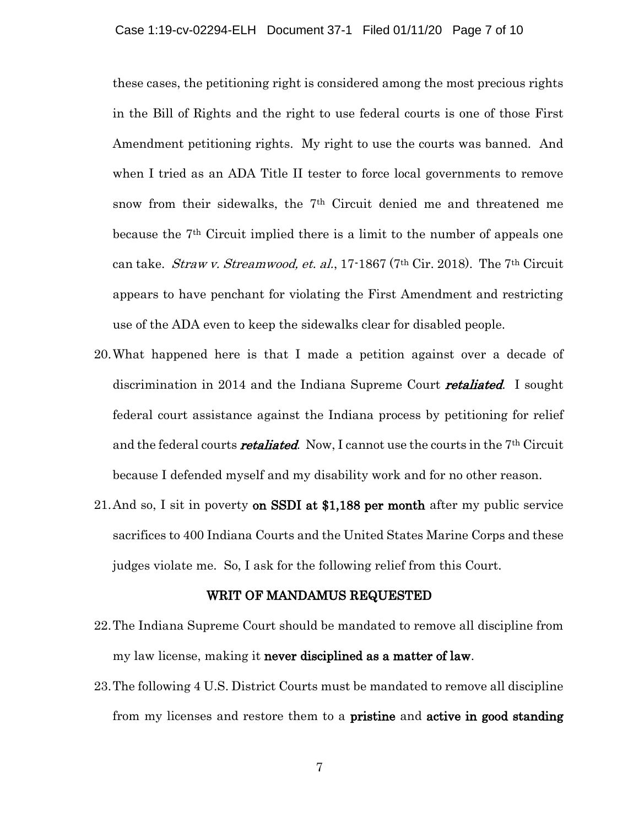these cases, the petitioning right is considered among the most precious rights in the Bill of Rights and the right to use federal courts is one of those First Amendment petitioning rights. My right to use the courts was banned. And when I tried as an ADA Title II tester to force local governments to remove snow from their sidewalks, the 7th Circuit denied me and threatened me because the 7th Circuit implied there is a limit to the number of appeals one can take. *Straw v. Streamwood, et. al.*, 17-1867 (7<sup>th</sup> Cir. 2018). The 7<sup>th</sup> Circuit appears to have penchant for violating the First Amendment and restricting use of the ADA even to keep the sidewalks clear for disabled people.

- 20.What happened here is that I made a petition against over a decade of discrimination in 2014 and the Indiana Supreme Court **retaliated**. I sought federal court assistance against the Indiana process by petitioning for relief and the federal courts **retaliated**. Now, I cannot use the courts in the  $7<sup>th</sup>$  Circuit because I defended myself and my disability work and for no other reason.
- 21.And so, I sit in poverty on SSDI at \$1,188 per month after my public service sacrifices to 400 Indiana Courts and the United States Marine Corps and these judges violate me. So, I ask for the following relief from this Court.

#### WRIT OF MANDAMUS REQUESTED

- 22.The Indiana Supreme Court should be mandated to remove all discipline from my law license, making it never disciplined as a matter of law.
- 23.The following 4 U.S. District Courts must be mandated to remove all discipline from my licenses and restore them to a pristine and active in good standing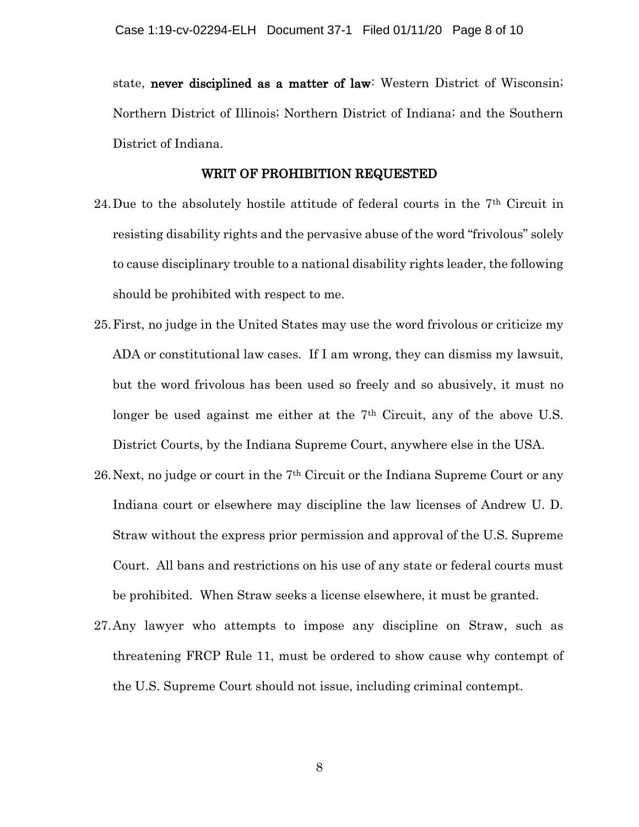state, never disciplined as a matter of law: Western District of Wisconsin; Northern District of Illinois; Northern District of Indiana; and the Southern District of Indiana.

#### WRIT OF PROHIBITION REQUESTED

- 24.Due to the absolutely hostile attitude of federal courts in the 7th Circuit in resisting disability rights and the pervasive abuse of the word "frivolous" solely to cause disciplinary trouble to a national disability rights leader, the following should be prohibited with respect to me.
- 25.First, no judge in the United States may use the word frivolous or criticize my ADA or constitutional law cases. If I am wrong, they can dismiss my lawsuit, but the word frivolous has been used so freely and so abusively, it must no longer be used against me either at the 7<sup>th</sup> Circuit, any of the above U.S. District Courts, by the Indiana Supreme Court, anywhere else in the USA.
- 26.Next, no judge or court in the 7th Circuit or the Indiana Supreme Court or any Indiana court or elsewhere may discipline the law licenses of Andrew U. D. Straw without the express prior permission and approval of the U.S. Supreme Court. All bans and restrictions on his use of any state or federal courts must be prohibited. When Straw seeks a license elsewhere, it must be granted.
- 27.Any lawyer who attempts to impose any discipline on Straw, such as threatening FRCP Rule 11, must be ordered to show cause why contempt of the U.S. Supreme Court should not issue, including criminal contempt.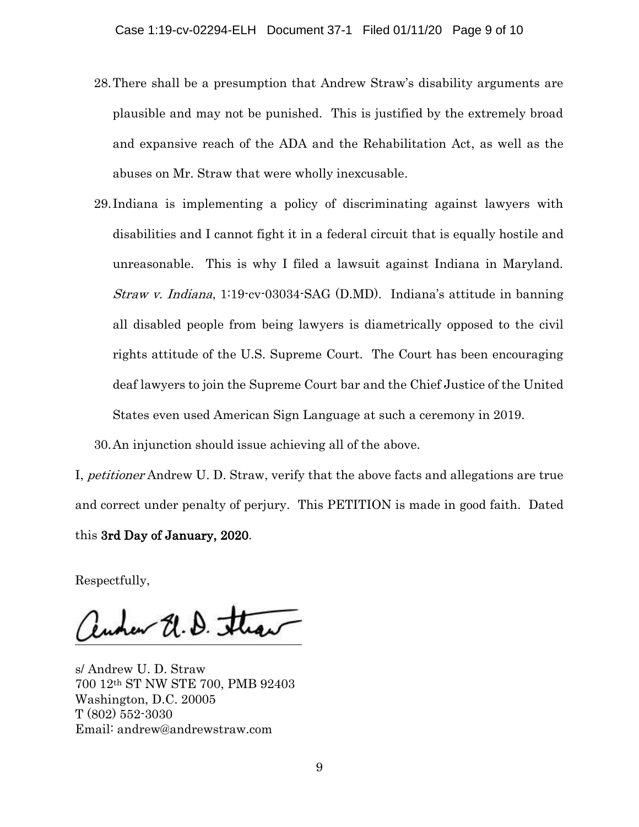- 28.There shall be a presumption that Andrew Straw's disability arguments are plausible and may not be punished. This is justified by the extremely broad and expansive reach of the ADA and the Rehabilitation Act, as well as the abuses on Mr. Straw that were wholly inexcusable.
- 29.Indiana is implementing a policy of discriminating against lawyers with disabilities and I cannot fight it in a federal circuit that is equally hostile and unreasonable. This is why I filed a lawsuit against Indiana in Maryland. Straw v. Indiana, 1:19-cv-03034-SAG (D.MD). Indiana's attitude in banning all disabled people from being lawyers is diametrically opposed to the civil rights attitude of the U.S. Supreme Court. The Court has been encouraging deaf lawyers to join the Supreme Court bar and the Chief Justice of the United States even used American Sign Language at such a ceremony in 2019.

30.An injunction should issue achieving all of the above.

I, petitioner Andrew U. D. Straw, verify that the above facts and allegations are true and correct under penalty of perjury. This PETITION is made in good faith. Dated this 3rd Day of January, 2020.

Respectfully,

Runner U. D. Straw

s/ Andrew U. D. Straw 700 12th ST NW STE 700, PMB 92403 Washington, D.C. 20005 T (802) 552-3030 Email: andrew@andrewstraw.com